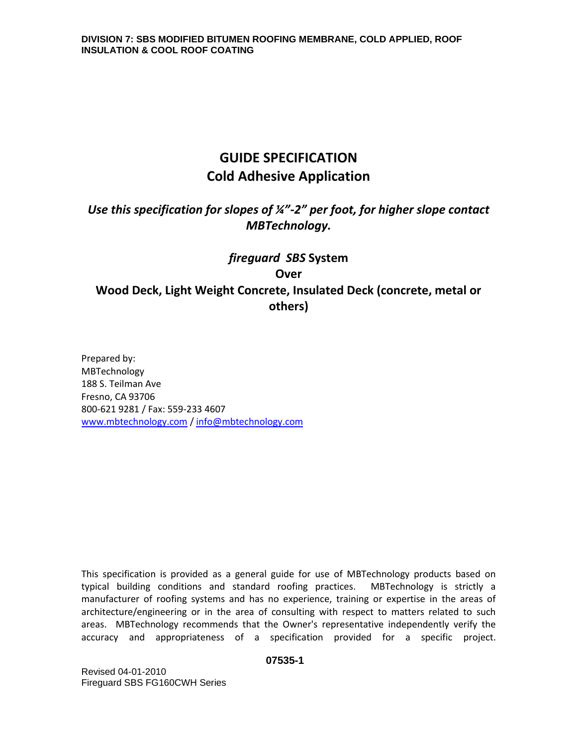# **GUIDE SPECIFICATION Cold Adhesive Application**

# *Use this specification for slopes of ¼"-2" per foot, for higher slope contact MBTechnology.*

# *fireguard SBS* **System Over Wood Deck, Light Weight Concrete, Insulated Deck (concrete, metal or others)**

Prepared by: MBTechnology 188 S. Teilman Ave Fresno, CA 93706 800-621 9281 / Fax: 559-233 4607 [www.mbtechnology.com](http://www.mbtechnology.com/) / [info@mbtechnology.com](mailto:info@mbtechnology.com)

This specification is provided as a general guide for use of MBTechnology products based on typical building conditions and standard roofing practices. MBTechnology is strictly a manufacturer of roofing systems and has no experience, training or expertise in the areas of architecture/engineering or in the area of consulting with respect to matters related to such areas. MBTechnology recommends that the Owner's representative independently verify the accuracy and appropriateness of a specification provided for a specific project.

#### **07535-1**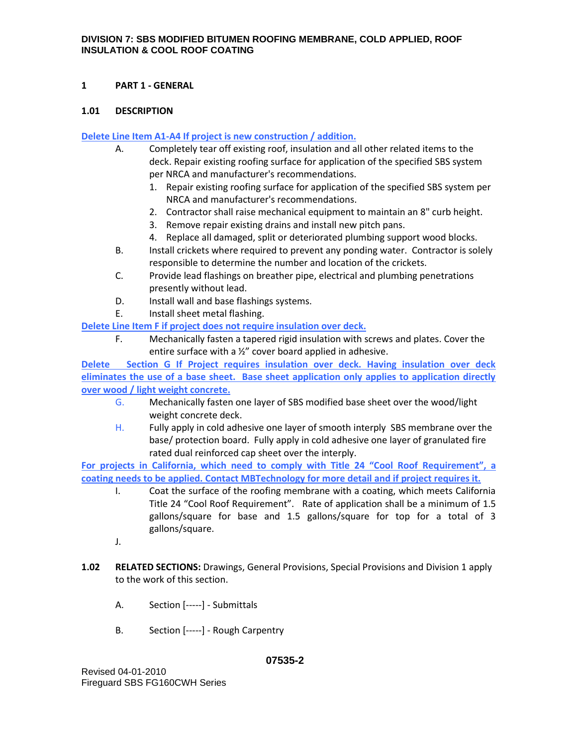# **1 PART 1 - GENERAL**

# **1.01 DESCRIPTION**

# **Delete Line Item A1-A4 If project is new construction / addition.**

- A. Completely tear off existing roof, insulation and all other related items to the deck. Repair existing roofing surface for application of the specified SBS system per NRCA and manufacturer's recommendations.
	- 1. Repair existing roofing surface for application of the specified SBS system per NRCA and manufacturer's recommendations.
	- 2. Contractor shall raise mechanical equipment to maintain an 8" curb height.
	- 3. Remove repair existing drains and install new pitch pans.
	- 4. Replace all damaged, split or deteriorated plumbing support wood blocks.
- B. Install crickets where required to prevent any ponding water. Contractor is solely responsible to determine the number and location of the crickets.
- C. Provide lead flashings on breather pipe, electrical and plumbing penetrations presently without lead.
- D. Install wall and base flashings systems.
- E. Install sheet metal flashing.

**Delete Line Item F if project does not require insulation over deck.**

F. Mechanically fasten a tapered rigid insulation with screws and plates. Cover the entire surface with a ½" cover board applied in adhesive.

**Delete Section G If Project requires insulation over deck. Having insulation over deck eliminates the use of a base sheet. Base sheet application only applies to application directly over wood / light weight concrete.**

- G. Mechanically fasten one layer of SBS modified base sheet over the wood/light weight concrete deck.
- H. Fully apply in cold adhesive one layer of smooth interply SBS membrane over the base/ protection board. Fully apply in cold adhesive one layer of granulated fire rated dual reinforced cap sheet over the interply.

**For projects in California, which need to comply with Title 24 "Cool Roof Requirement", a coating needs to be applied. Contact MBTechnology for more detail and if project requires it.**

- I. Coat the surface of the roofing membrane with a coating, which meets California Title 24 "Cool Roof Requirement". Rate of application shall be a minimum of 1.5 gallons/square for base and 1.5 gallons/square for top for a total of 3 gallons/square.
- J.
- **1.02 RELATED SECTIONS:** Drawings, General Provisions, Special Provisions and Division 1 apply to the work of this section.
	- A. Section [-----] Submittals
	- B. Section [-----] Rough Carpentry

## **07535-2**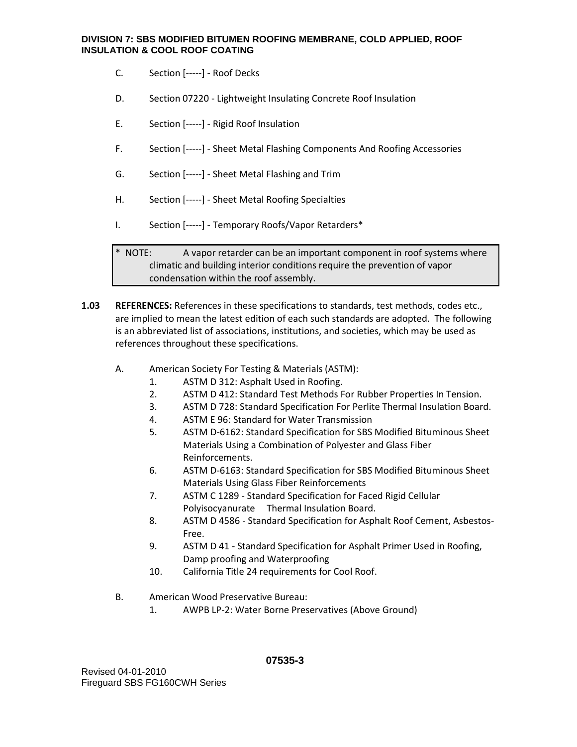- C. Section [-----] Roof Decks
- D. Section 07220 Lightweight Insulating Concrete Roof Insulation
- E. Section [-----] Rigid Roof Insulation
- F. Section [-----] Sheet Metal Flashing Components And Roofing Accessories
- G. Section [-----] Sheet Metal Flashing and Trim
- H. Section [-----] Sheet Metal Roofing Specialties
- I. Section [-----] Temporary Roofs/Vapor Retarders\*

\* NOTE: A vapor retarder can be an important component in roof systems where climatic and building interior conditions require the prevention of vapor condensation within the roof assembly.

- **1.03 REFERENCES:** References in these specifications to standards, test methods, codes etc., are implied to mean the latest edition of each such standards are adopted. The following is an abbreviated list of associations, institutions, and societies, which may be used as references throughout these specifications.
	- A. American Society For Testing & Materials (ASTM):
		- 1. ASTM D 312: Asphalt Used in Roofing.
		- 2. ASTM D 412: Standard Test Methods For Rubber Properties In Tension.
		- 3. ASTM D 728: Standard Specification For Perlite Thermal Insulation Board.
		- 4. ASTM E 96: Standard for Water Transmission
		- 5. ASTM D-6162: Standard Specification for SBS Modified Bituminous Sheet Materials Using a Combination of Polyester and Glass Fiber Reinforcements.
		- 6. ASTM D-6163: Standard Specification for SBS Modified Bituminous Sheet Materials Using Glass Fiber Reinforcements
		- 7. ASTM C 1289 Standard Specification for Faced Rigid Cellular Polyisocyanurate Thermal Insulation Board.
		- 8. ASTM D 4586 Standard Specification for Asphalt Roof Cement, Asbestos-Free.
		- 9. ASTM D 41 Standard Specification for Asphalt Primer Used in Roofing, Damp proofing and Waterproofing
		- 10. California Title 24 requirements for Cool Roof.
	- B. American Wood Preservative Bureau:
		- 1. AWPB LP-2: Water Borne Preservatives (Above Ground)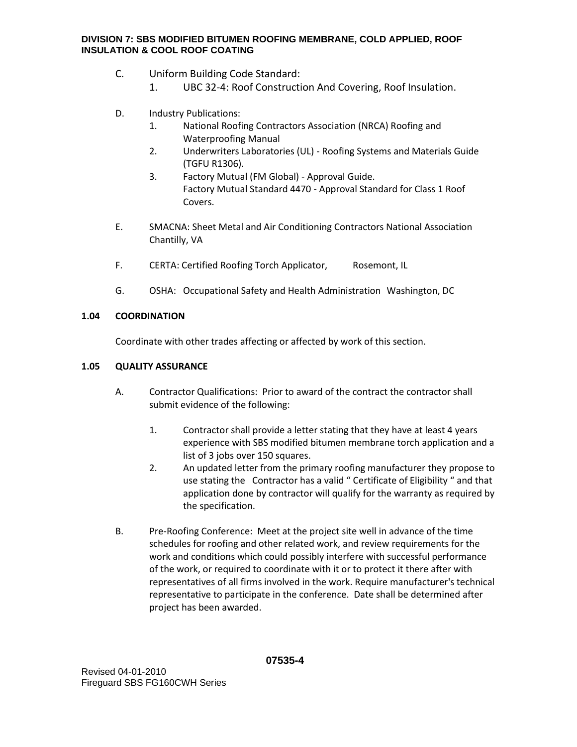- C. Uniform Building Code Standard:
	- 1. UBC 32-4: Roof Construction And Covering, Roof Insulation.
- D. Industry Publications:
	- 1. National Roofing Contractors Association (NRCA) Roofing and Waterproofing Manual
	- 2. Underwriters Laboratories (UL) Roofing Systems and Materials Guide (TGFU R1306).
	- 3. Factory Mutual (FM Global) Approval Guide. Factory Mutual Standard 4470 - Approval Standard for Class 1 Roof Covers.
- E. SMACNA: Sheet Metal and Air Conditioning Contractors National Association Chantilly, VA
- F. CERTA: Certified Roofing Torch Applicator, Rosemont, IL
- G. OSHA: Occupational Safety and Health Administration Washington, DC

## **1.04 COORDINATION**

Coordinate with other trades affecting or affected by work of this section.

# **1.05 QUALITY ASSURANCE**

- A. Contractor Qualifications: Prior to award of the contract the contractor shall submit evidence of the following:
	- 1. Contractor shall provide a letter stating that they have at least 4 years experience with SBS modified bitumen membrane torch application and a list of 3 jobs over 150 squares.
	- 2. An updated letter from the primary roofing manufacturer they propose to use stating the Contractor has a valid " Certificate of Eligibility " and that application done by contractor will qualify for the warranty as required by the specification.
- B. Pre-Roofing Conference: Meet at the project site well in advance of the time schedules for roofing and other related work, and review requirements for the work and conditions which could possibly interfere with successful performance of the work, or required to coordinate with it or to protect it there after with representatives of all firms involved in the work. Require manufacturer's technical representative to participate in the conference. Date shall be determined after project has been awarded.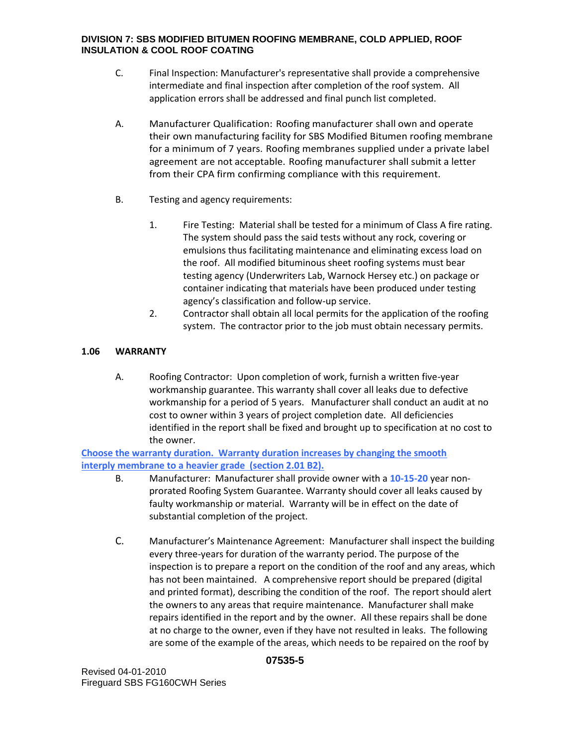- C. Final Inspection: Manufacturer's representative shall provide a comprehensive intermediate and final inspection after completion of the roof system. All application errors shall be addressed and final punch list completed.
- A. Manufacturer Qualification: Roofing manufacturer shall own and operate their own manufacturing facility for SBS Modified Bitumen roofing membrane for a minimum of 7 years. Roofing membranes supplied under a private label agreement are not acceptable. Roofing manufacturer shall submit a letter from their CPA firm confirming compliance with this requirement.
- B. Testing and agency requirements:
	- 1. Fire Testing: Material shall be tested for a minimum of Class A fire rating. The system should pass the said tests without any rock, covering or emulsions thus facilitating maintenance and eliminating excess load on the roof. All modified bituminous sheet roofing systems must bear testing agency (Underwriters Lab, Warnock Hersey etc.) on package or container indicating that materials have been produced under testing agency's classification and follow-up service.
	- 2. Contractor shall obtain all local permits for the application of the roofing system. The contractor prior to the job must obtain necessary permits.

# **1.06 WARRANTY**

A. Roofing Contractor: Upon completion of work, furnish a written five-year workmanship guarantee. This warranty shall cover all leaks due to defective workmanship for a period of 5 years. Manufacturer shall conduct an audit at no cost to owner within 3 years of project completion date. All deficiencies identified in the report shall be fixed and brought up to specification at no cost to the owner.

**Choose the warranty duration. Warranty duration increases by changing the smooth interply membrane to a heavier grade (section 2.01 B2).** 

- B. Manufacturer: Manufacturer shall provide owner with a **10-15-20** year nonprorated Roofing System Guarantee. Warranty should cover all leaks caused by faulty workmanship or material. Warranty will be in effect on the date of substantial completion of the project.
- C. Manufacturer's Maintenance Agreement: Manufacturer shall inspect the building every three-years for duration of the warranty period. The purpose of the inspection is to prepare a report on the condition of the roof and any areas, which has not been maintained. A comprehensive report should be prepared (digital and printed format), describing the condition of the roof. The report should alert the owners to any areas that require maintenance. Manufacturer shall make repairs identified in the report and by the owner. All these repairs shall be done at no charge to the owner, even if they have not resulted in leaks. The following are some of the example of the areas, which needs to be repaired on the roof by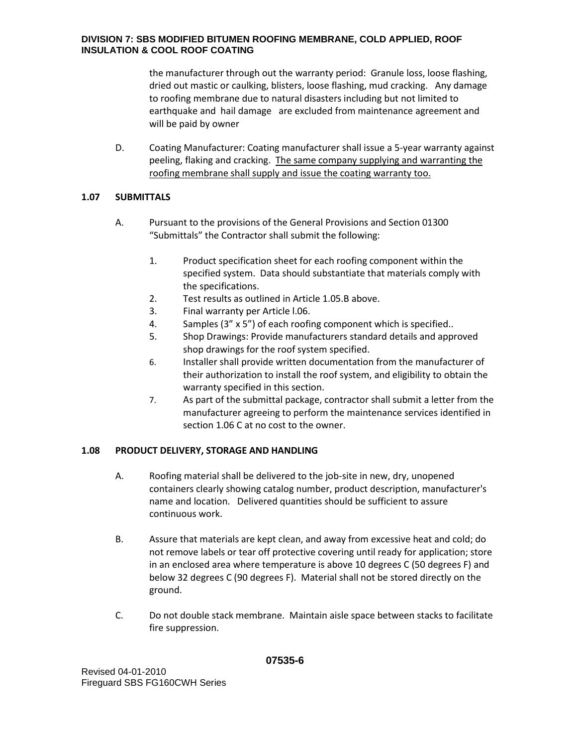the manufacturer through out the warranty period: Granule loss, loose flashing, dried out mastic or caulking, blisters, loose flashing, mud cracking. Any damage to roofing membrane due to natural disasters including but not limited to earthquake and hail damage are excluded from maintenance agreement and will be paid by owner

D. Coating Manufacturer: Coating manufacturer shall issue a 5-year warranty against peeling, flaking and cracking. The same company supplying and warranting the roofing membrane shall supply and issue the coating warranty too.

# **1.07 SUBMITTALS**

- A. Pursuant to the provisions of the General Provisions and Section 01300 "Submittals" the Contractor shall submit the following:
	- 1. Product specification sheet for each roofing component within the specified system. Data should substantiate that materials comply with the specifications.
	- 2. Test results as outlined in Article 1.05.B above.
	- 3. Final warranty per Article l.06.
	- 4. Samples (3" x 5") of each roofing component which is specified..
	- 5. Shop Drawings: Provide manufacturers standard details and approved shop drawings for the roof system specified.
	- 6. Installer shall provide written documentation from the manufacturer of their authorization to install the roof system, and eligibility to obtain the warranty specified in this section.
	- 7. As part of the submittal package, contractor shall submit a letter from the manufacturer agreeing to perform the maintenance services identified in section 1.06 C at no cost to the owner.

# **1.08 PRODUCT DELIVERY, STORAGE AND HANDLING**

- A. Roofing material shall be delivered to the job-site in new, dry, unopened containers clearly showing catalog number, product description, manufacturer's name and location. Delivered quantities should be sufficient to assure continuous work.
- B. Assure that materials are kept clean, and away from excessive heat and cold; do not remove labels or tear off protective covering until ready for application; store in an enclosed area where temperature is above 10 degrees C (50 degrees F) and below 32 degrees C (90 degrees F). Material shall not be stored directly on the ground.
- C. Do not double stack membrane. Maintain aisle space between stacks to facilitate fire suppression.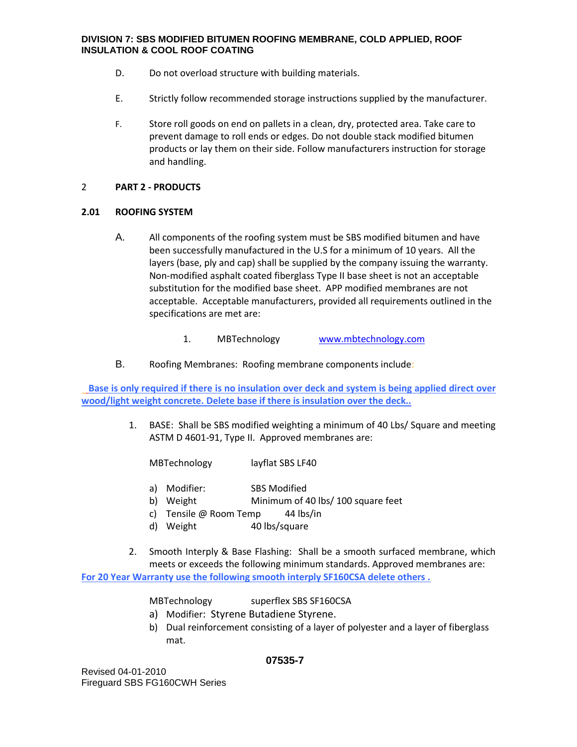- D. Do not overload structure with building materials.
- E. Strictly follow recommended storage instructions supplied by the manufacturer.
- F. Store roll goods on end on pallets in a clean, dry, protected area. Take care to prevent damage to roll ends or edges. Do not double stack modified bitumen products or lay them on their side. Follow manufacturers instruction for storage and handling.

#### 2 **PART 2 - PRODUCTS**

## **2.01 ROOFING SYSTEM**

A. All components of the roofing system must be SBS modified bitumen and have been successfully manufactured in the U.S for a minimum of 10 years. All the layers (base, ply and cap) shall be supplied by the company issuing the warranty. Non-modified asphalt coated fiberglass Type II base sheet is not an acceptable substitution for the modified base sheet. APP modified membranes are not acceptable. Acceptable manufacturers, provided all requirements outlined in the specifications are met are:

#### 1. MBTechnology [www.mbtechnology.com](http://www.mbtechnology.com/)

B. Roofing Membranes: Roofing membrane components include:

**Base is only required if there is no insulation over deck and system is being applied direct over wood/light weight concrete. Delete base if there is insulation over the deck..** 

> 1. BASE: Shall be SBS modified weighting a minimum of 40 Lbs/ Square and meeting ASTM D 4601-91, Type II. Approved membranes are:

MBTechnology layflat SBS LF40

- a) Modifier: SBS Modified
- b) Weight Minimum of 40 lbs/ 100 square feet
- c) Tensile @ Room Temp 44 lbs/in
- d) Weight 40 lbs/square
- 2. Smooth Interply & Base Flashing: Shall be a smooth surfaced membrane, which meets or exceeds the following minimum standards. Approved membranes are: **For 20 Year Warranty use the following smooth interply SF160CSA delete others .**

MBTechnology superflex SBS SF160CSA

- a) Modifier: Styrene Butadiene Styrene.
- b) Dual reinforcement consisting of a layer of polyester and a layer of fiberglass mat.

#### **07535-7**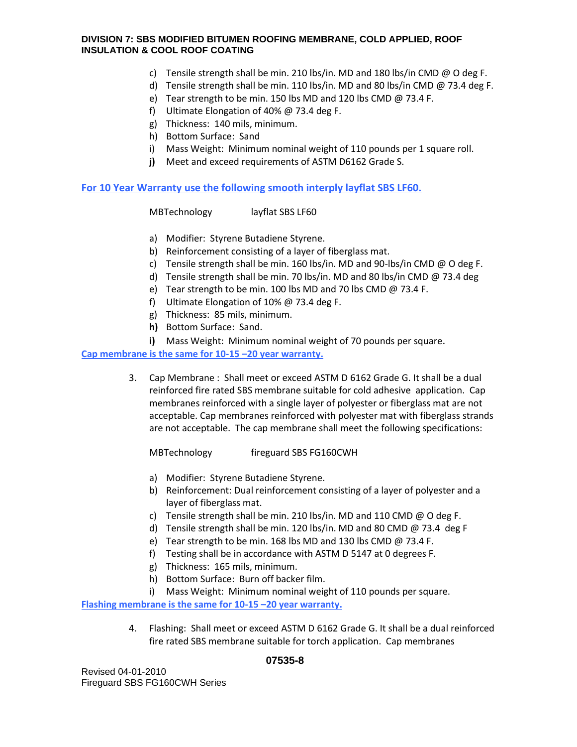- c) Tensile strength shall be min. 210 lbs/in. MD and 180 lbs/in CMD @ O deg F.
- d) Tensile strength shall be min. 110 lbs/in. MD and 80 lbs/in CMD @ 73.4 deg F.
- e) Tear strength to be min. 150 lbs MD and 120 lbs CMD @ 73.4 F.
- f) Ultimate Elongation of 40% @ 73.4 deg F.
- g) Thickness: 140 mils, minimum.
- h) Bottom Surface: Sand
- i) Mass Weight: Minimum nominal weight of 110 pounds per 1 square roll.
- **j)** Meet and exceed requirements of ASTM D6162 Grade S.

## **For 10 Year Warranty use the following smooth interply layflat SBS LF60.**

MBTechnology layflat SBS LF60

- a) Modifier: Styrene Butadiene Styrene.
- b) Reinforcement consisting of a layer of fiberglass mat.
- c) Tensile strength shall be min. 160 lbs/in. MD and 90-lbs/in CMD @ O deg F.
- d) Tensile strength shall be min. 70 lbs/in. MD and 80 lbs/in CMD @ 73.4 deg
- e) Tear strength to be min. 100 lbs MD and 70 lbs CMD @ 73.4 F.
- f) Ultimate Elongation of 10% @ 73.4 deg F.
- g) Thickness: 85 mils, minimum.
- **h)** Bottom Surface: Sand.
- **i)** Mass Weight: Minimum nominal weight of 70 pounds per square.

## **Cap membrane is the same for 10-15 –20 year warranty.**

3. Cap Membrane : Shall meet or exceed ASTM D 6162 Grade G. It shall be a dual reinforced fire rated SBS membrane suitable for cold adhesive application. Cap membranes reinforced with a single layer of polyester or fiberglass mat are not acceptable. Cap membranes reinforced with polyester mat with fiberglass strands are not acceptable. The cap membrane shall meet the following specifications:

MBTechnology fireguard SBS FG160CWH

- a) Modifier: Styrene Butadiene Styrene.
- b) Reinforcement: Dual reinforcement consisting of a layer of polyester and a layer of fiberglass mat.
- c) Tensile strength shall be min. 210 lbs/in. MD and 110 CMD @ O deg F.
- d) Tensile strength shall be min. 120 lbs/in. MD and 80 CMD @ 73.4 deg F
- e) Tear strength to be min. 168 lbs MD and 130 lbs CMD @ 73.4 F.
- f) Testing shall be in accordance with ASTM D 5147 at 0 degrees F.
- g) Thickness: 165 mils, minimum.
- h) Bottom Surface: Burn off backer film.
- i) Mass Weight: Minimum nominal weight of 110 pounds per square.

**Flashing membrane is the same for 10-15 –20 year warranty.** 

4. Flashing: Shall meet or exceed ASTM D 6162 Grade G. It shall be a dual reinforced fire rated SBS membrane suitable for torch application. Cap membranes

Revised 04-01-2010 Fireguard SBS FG160CWH Series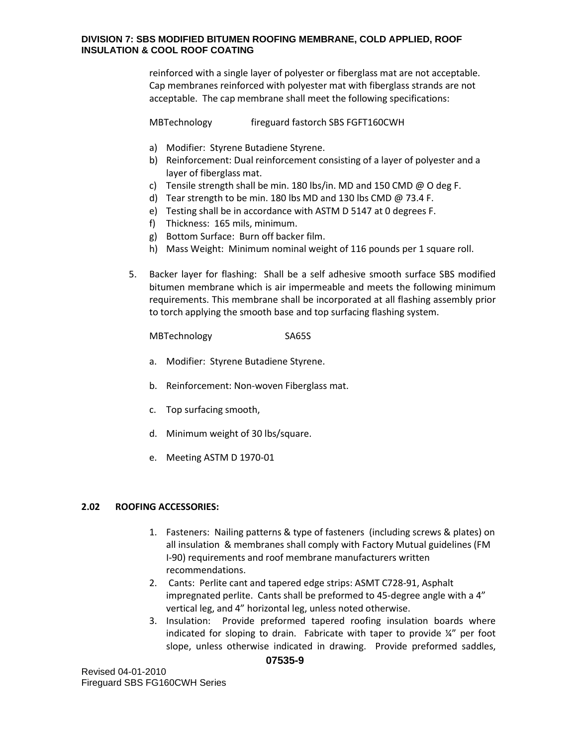reinforced with a single layer of polyester or fiberglass mat are not acceptable. Cap membranes reinforced with polyester mat with fiberglass strands are not acceptable. The cap membrane shall meet the following specifications:

MBTechnology fireguard fastorch SBS FGFT160CWH

- a) Modifier: Styrene Butadiene Styrene.
- b) Reinforcement: Dual reinforcement consisting of a layer of polyester and a layer of fiberglass mat.
- c) Tensile strength shall be min. 180 lbs/in. MD and 150 CMD @ O deg F.
- d) Tear strength to be min. 180 lbs MD and 130 lbs CMD @ 73.4 F.
- e) Testing shall be in accordance with ASTM D 5147 at 0 degrees F.
- f) Thickness: 165 mils, minimum.
- g) Bottom Surface: Burn off backer film.
- h) Mass Weight: Minimum nominal weight of 116 pounds per 1 square roll.
- 5. Backer layer for flashing: Shall be a self adhesive smooth surface SBS modified bitumen membrane which is air impermeable and meets the following minimum requirements. This membrane shall be incorporated at all flashing assembly prior to torch applying the smooth base and top surfacing flashing system.

MBTechnology SA65S

- a. Modifier: Styrene Butadiene Styrene.
- b. Reinforcement: Non-woven Fiberglass mat.
- c. Top surfacing smooth,
- d. Minimum weight of 30 lbs/square.
- e. Meeting ASTM D 1970-01

## **2.02 ROOFING ACCESSORIES:**

- 1. Fasteners: Nailing patterns & type of fasteners (including screws & plates) on all insulation & membranes shall comply with Factory Mutual guidelines (FM I-90) requirements and roof membrane manufacturers written recommendations.
- 2. Cants: Perlite cant and tapered edge strips: ASMT C728-91, Asphalt impregnated perlite. Cants shall be preformed to 45-degree angle with a 4" vertical leg, and 4" horizontal leg, unless noted otherwise.
- 3. Insulation: Provide preformed tapered roofing insulation boards where indicated for sloping to drain. Fabricate with taper to provide ¼" per foot slope, unless otherwise indicated in drawing. Provide preformed saddles,

Revised 04-01-2010 Fireguard SBS FG160CWH Series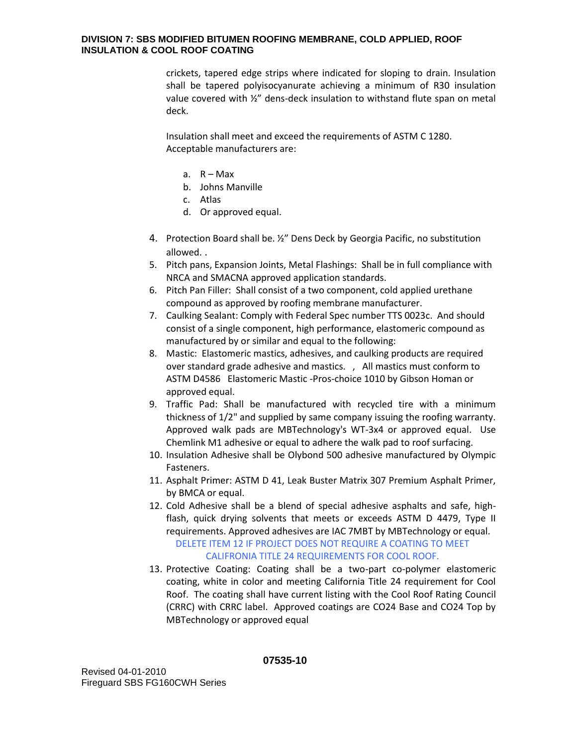crickets, tapered edge strips where indicated for sloping to drain. Insulation shall be tapered polyisocyanurate achieving a minimum of R30 insulation value covered with ½" dens-deck insulation to withstand flute span on metal deck.

Insulation shall meet and exceed the requirements of ASTM C 1280. Acceptable manufacturers are:

- a.  $R Max$
- b. Johns Manville
- c. Atlas
- d. Or approved equal.
- 4. Protection Board shall be. ½" Dens Deck by Georgia Pacific, no substitution allowed. .
- 5. Pitch pans, Expansion Joints, Metal Flashings: Shall be in full compliance with NRCA and SMACNA approved application standards.
- 6. Pitch Pan Filler: Shall consist of a two component, cold applied urethane compound as approved by roofing membrane manufacturer.
- 7. Caulking Sealant: Comply with Federal Spec number TTS 0023c. And should consist of a single component, high performance, elastomeric compound as manufactured by or similar and equal to the following:
- 8. Mastic: Elastomeric mastics, adhesives, and caulking products are required over standard grade adhesive and mastics. , All mastics must conform to ASTM D4586 Elastomeric Mastic -Pros-choice 1010 by Gibson Homan or approved equal.
- 9. Traffic Pad: Shall be manufactured with recycled tire with a minimum thickness of 1/2" and supplied by same company issuing the roofing warranty. Approved walk pads are MBTechnology's WT-3x4 or approved equal. Use Chemlink M1 adhesive or equal to adhere the walk pad to roof surfacing.
- 10. Insulation Adhesive shall be Olybond 500 adhesive manufactured by Olympic Fasteners.
- 11. Asphalt Primer: ASTM D 41, Leak Buster Matrix 307 Premium Asphalt Primer, by BMCA or equal.
- 12. Cold Adhesive shall be a blend of special adhesive asphalts and safe, highflash, quick drying solvents that meets or exceeds ASTM D 4479, Type II requirements. Approved adhesives are IAC 7MBT by MBTechnology or equal. DELETE ITEM 12 IF PROJECT DOES NOT REQUIRE A COATING TO MEET CALIFRONIA TITLE 24 REQUIREMENTS FOR COOL ROOF.
- 13. Protective Coating: Coating shall be a two-part co-polymer elastomeric coating, white in color and meeting California Title 24 requirement for Cool Roof. The coating shall have current listing with the Cool Roof Rating Council (CRRC) with CRRC label. Approved coatings are CO24 Base and CO24 Top by MBTechnology or approved equal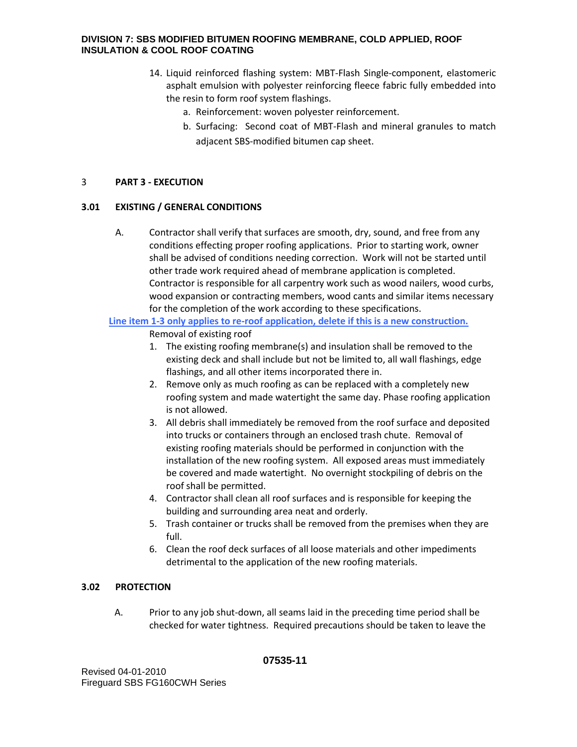- 14. Liquid reinforced flashing system: MBT-Flash Single-component, elastomeric asphalt emulsion with polyester reinforcing fleece fabric fully embedded into the resin to form roof system flashings.
	- a. Reinforcement: woven polyester reinforcement.
	- b. Surfacing: Second coat of MBT-Flash and mineral granules to match adjacent SBS-modified bitumen cap sheet.

# 3 **PART 3 - EXECUTION**

# **3.01 EXISTING / GENERAL CONDITIONS**

A. Contractor shall verify that surfaces are smooth, dry, sound, and free from any conditions effecting proper roofing applications. Prior to starting work, owner shall be advised of conditions needing correction. Work will not be started until other trade work required ahead of membrane application is completed. Contractor is responsible for all carpentry work such as wood nailers, wood curbs, wood expansion or contracting members, wood cants and similar items necessary for the completion of the work according to these specifications.

#### **Line item 1-3 only applies to re-roof application, delete if this is a new construction.** Removal of existing roof

- 1. The existing roofing membrane(s) and insulation shall be removed to the existing deck and shall include but not be limited to, all wall flashings, edge flashings, and all other items incorporated there in.
- 2. Remove only as much roofing as can be replaced with a completely new roofing system and made watertight the same day. Phase roofing application is not allowed.
- 3. All debris shall immediately be removed from the roof surface and deposited into trucks or containers through an enclosed trash chute. Removal of existing roofing materials should be performed in conjunction with the installation of the new roofing system. All exposed areas must immediately be covered and made watertight. No overnight stockpiling of debris on the roof shall be permitted.
- 4. Contractor shall clean all roof surfaces and is responsible for keeping the building and surrounding area neat and orderly.
- 5. Trash container or trucks shall be removed from the premises when they are full.
- 6. Clean the roof deck surfaces of all loose materials and other impediments detrimental to the application of the new roofing materials.

# **3.02 PROTECTION**

A. Prior to any job shut-down, all seams laid in the preceding time period shall be checked for water tightness. Required precautions should be taken to leave the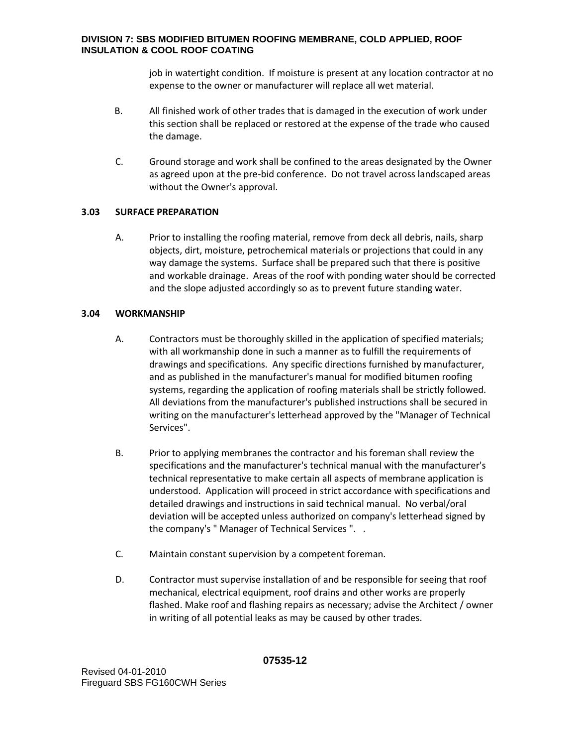job in watertight condition. If moisture is present at any location contractor at no expense to the owner or manufacturer will replace all wet material.

- B. All finished work of other trades that is damaged in the execution of work under this section shall be replaced or restored at the expense of the trade who caused the damage.
- C. Ground storage and work shall be confined to the areas designated by the Owner as agreed upon at the pre-bid conference. Do not travel across landscaped areas without the Owner's approval.

# **3.03 SURFACE PREPARATION**

A. Prior to installing the roofing material, remove from deck all debris, nails, sharp objects, dirt, moisture, petrochemical materials or projections that could in any way damage the systems. Surface shall be prepared such that there is positive and workable drainage. Areas of the roof with ponding water should be corrected and the slope adjusted accordingly so as to prevent future standing water.

# **3.04 WORKMANSHIP**

- A. Contractors must be thoroughly skilled in the application of specified materials; with all workmanship done in such a manner as to fulfill the requirements of drawings and specifications. Any specific directions furnished by manufacturer, and as published in the manufacturer's manual for modified bitumen roofing systems, regarding the application of roofing materials shall be strictly followed. All deviations from the manufacturer's published instructions shall be secured in writing on the manufacturer's letterhead approved by the "Manager of Technical Services".
- B. Prior to applying membranes the contractor and his foreman shall review the specifications and the manufacturer's technical manual with the manufacturer's technical representative to make certain all aspects of membrane application is understood. Application will proceed in strict accordance with specifications and detailed drawings and instructions in said technical manual. No verbal/oral deviation will be accepted unless authorized on company's letterhead signed by the company's " Manager of Technical Services ". .
- C. Maintain constant supervision by a competent foreman.
- D. Contractor must supervise installation of and be responsible for seeing that roof mechanical, electrical equipment, roof drains and other works are properly flashed. Make roof and flashing repairs as necessary; advise the Architect / owner in writing of all potential leaks as may be caused by other trades.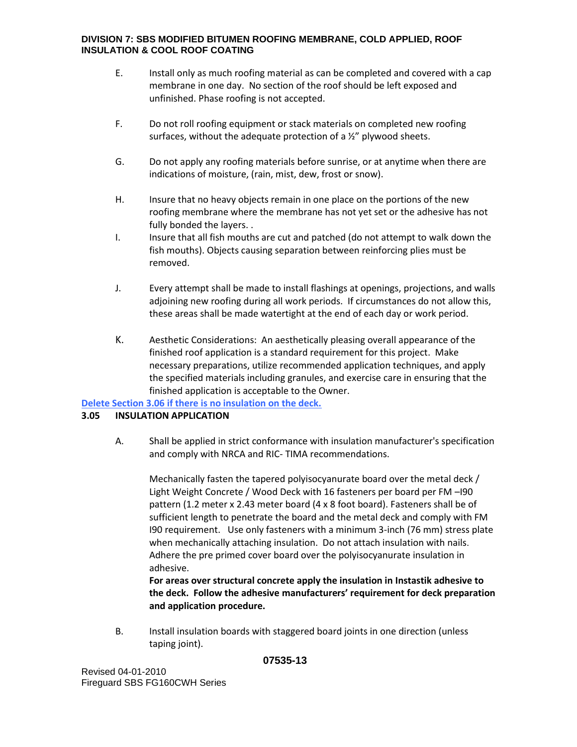- E. Install only as much roofing material as can be completed and covered with a cap membrane in one day. No section of the roof should be left exposed and unfinished. Phase roofing is not accepted.
- F. Do not roll roofing equipment or stack materials on completed new roofing surfaces, without the adequate protection of a  $\frac{1}{2}$ " plywood sheets.
- G. Do not apply any roofing materials before sunrise, or at anytime when there are indications of moisture, (rain, mist, dew, frost or snow).
- H. Insure that no heavy objects remain in one place on the portions of the new roofing membrane where the membrane has not yet set or the adhesive has not fully bonded the layers. .
- I. Insure that all fish mouths are cut and patched (do not attempt to walk down the fish mouths). Objects causing separation between reinforcing plies must be removed.
- J. Every attempt shall be made to install flashings at openings, projections, and walls adjoining new roofing during all work periods. If circumstances do not allow this, these areas shall be made watertight at the end of each day or work period.
- K. Aesthetic Considerations: An aesthetically pleasing overall appearance of the finished roof application is a standard requirement for this project. Make necessary preparations, utilize recommended application techniques, and apply the specified materials including granules, and exercise care in ensuring that the finished application is acceptable to the Owner.

**Delete Section 3.06 if there is no insulation on the deck.** 

## **3.05 INSULATION APPLICATION**

A. Shall be applied in strict conformance with insulation manufacturer's specification and comply with NRCA and RIC- TIMA recommendations.

Mechanically fasten the tapered polyisocyanurate board over the metal deck / Light Weight Concrete / Wood Deck with 16 fasteners per board per FM –I90 pattern (1.2 meter x 2.43 meter board (4 x 8 foot board). Fasteners shall be of sufficient length to penetrate the board and the metal deck and comply with FM I90 requirement. Use only fasteners with a minimum 3-inch (76 mm) stress plate when mechanically attaching insulation. Do not attach insulation with nails. Adhere the pre primed cover board over the polyisocyanurate insulation in adhesive.

**For areas over structural concrete apply the insulation in Instastik adhesive to the deck. Follow the adhesive manufacturers' requirement for deck preparation and application procedure.** 

B. Install insulation boards with staggered board joints in one direction (unless taping joint).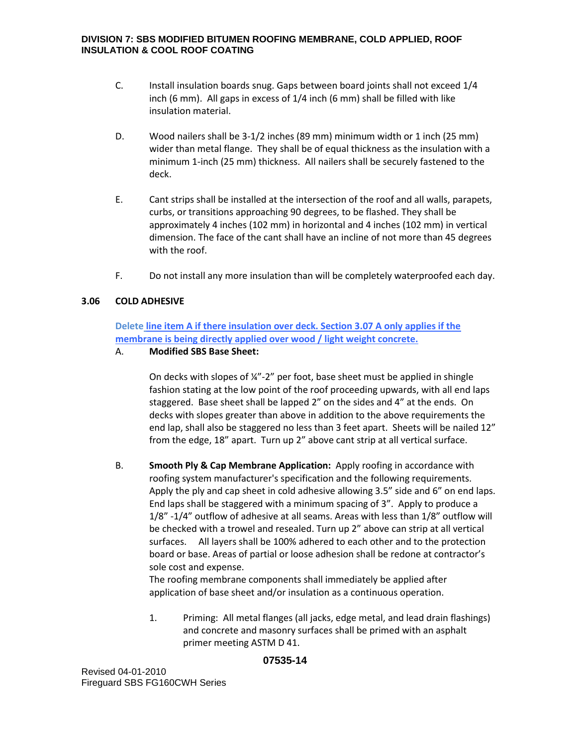- C. Install insulation boards snug. Gaps between board joints shall not exceed 1/4 inch (6 mm). All gaps in excess of 1/4 inch (6 mm) shall be filled with like insulation material.
- D. Wood nailers shall be 3-1/2 inches (89 mm) minimum width or 1 inch (25 mm) wider than metal flange. They shall be of equal thickness as the insulation with a minimum 1-inch (25 mm) thickness. All nailers shall be securely fastened to the deck.
- E. Cant strips shall be installed at the intersection of the roof and all walls, parapets, curbs, or transitions approaching 90 degrees, to be flashed. They shall be approximately 4 inches (102 mm) in horizontal and 4 inches (102 mm) in vertical dimension. The face of the cant shall have an incline of not more than 45 degrees with the roof.
- F. Do not install any more insulation than will be completely waterproofed each day.

## **3.06 COLD ADHESIVE**

**Delete line item A if there insulation over deck. Section 3.07 A only applies if the membrane is being directly applied over wood / light weight concrete.** 

#### A. **Modified SBS Base Sheet:**

On decks with slopes of ¼"-2" per foot, base sheet must be applied in shingle fashion stating at the low point of the roof proceeding upwards, with all end laps staggered. Base sheet shall be lapped 2" on the sides and 4" at the ends. On decks with slopes greater than above in addition to the above requirements the end lap, shall also be staggered no less than 3 feet apart. Sheets will be nailed 12" from the edge, 18" apart. Turn up 2" above cant strip at all vertical surface.

B. **Smooth Ply & Cap Membrane Application:** Apply roofing in accordance with roofing system manufacturer's specification and the following requirements. Apply the ply and cap sheet in cold adhesive allowing 3.5" side and 6" on end laps. End laps shall be staggered with a minimum spacing of 3". Apply to produce a 1/8" -1/4" outflow of adhesive at all seams. Areas with less than 1/8" outflow will be checked with a trowel and resealed. Turn up 2" above can strip at all vertical surfaces. All layers shall be 100% adhered to each other and to the protection board or base. Areas of partial or loose adhesion shall be redone at contractor's sole cost and expense.

The roofing membrane components shall immediately be applied after application of base sheet and/or insulation as a continuous operation.

1. Priming: All metal flanges (all jacks, edge metal, and lead drain flashings) and concrete and masonry surfaces shall be primed with an asphalt primer meeting ASTM D 41.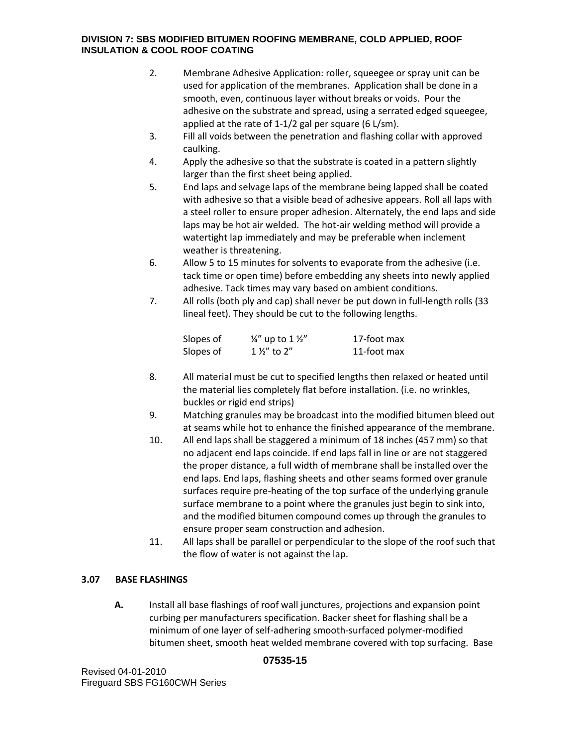- 2. Membrane Adhesive Application: roller, squeegee or spray unit can be used for application of the membranes. Application shall be done in a smooth, even, continuous layer without breaks or voids. Pour the adhesive on the substrate and spread, using a serrated edged squeegee, applied at the rate of 1-1/2 gal per square (6 L/sm).
- 3. Fill all voids between the penetration and flashing collar with approved caulking.
- 4. Apply the adhesive so that the substrate is coated in a pattern slightly larger than the first sheet being applied.
- 5. End laps and selvage laps of the membrane being lapped shall be coated with adhesive so that a visible bead of adhesive appears. Roll all laps with a steel roller to ensure proper adhesion. Alternately, the end laps and side laps may be hot air welded. The hot-air welding method will provide a watertight lap immediately and may be preferable when inclement weather is threatening.
- 6. Allow 5 to 15 minutes for solvents to evaporate from the adhesive (i.e. tack time or open time) before embedding any sheets into newly applied adhesive. Tack times may vary based on ambient conditions.
- 7. All rolls (both ply and cap) shall never be put down in full-length rolls (33 lineal feet). They should be cut to the following lengths.

| Slopes of | $\frac{1}{4}$ " up to 1 $\frac{1}{2}$ " | 17-foot max |
|-----------|-----------------------------------------|-------------|
| Slopes of | $1\frac{1}{2}$ to $2''$                 | 11-foot max |

- 8. All material must be cut to specified lengths then relaxed or heated until the material lies completely flat before installation. (i.e. no wrinkles, buckles or rigid end strips)
- 9. Matching granules may be broadcast into the modified bitumen bleed out at seams while hot to enhance the finished appearance of the membrane.
- 10. All end laps shall be staggered a minimum of 18 inches (457 mm) so that no adjacent end laps coincide. If end laps fall in line or are not staggered the proper distance, a full width of membrane shall be installed over the end laps. End laps, flashing sheets and other seams formed over granule surfaces require pre-heating of the top surface of the underlying granule surface membrane to a point where the granules just begin to sink into, and the modified bitumen compound comes up through the granules to ensure proper seam construction and adhesion.
- 11. All laps shall be parallel or perpendicular to the slope of the roof such that the flow of water is not against the lap.

# **3.07 BASE FLASHINGS**

**A.** Install all base flashings of roof wall junctures, projections and expansion point curbing per manufacturers specification. Backer sheet for flashing shall be a minimum of one layer of self-adhering smooth-surfaced polymer-modified bitumen sheet, smooth heat welded membrane covered with top surfacing. Base

# **07535-15**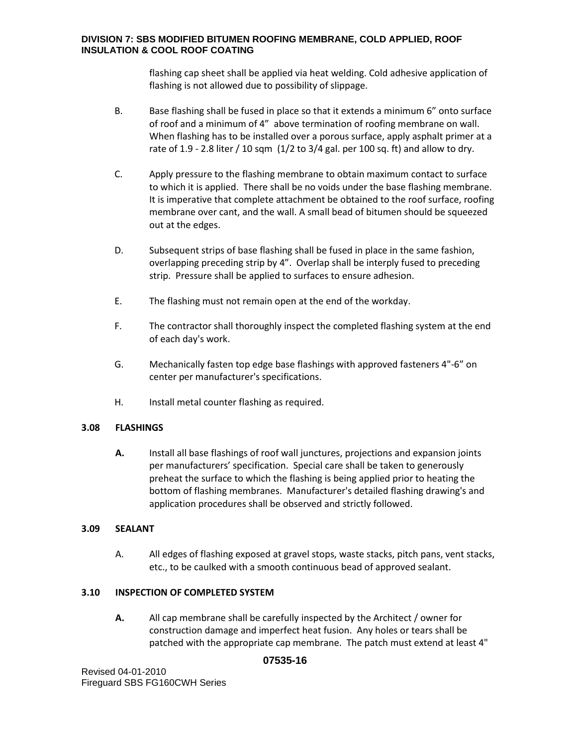flashing cap sheet shall be applied via heat welding. Cold adhesive application of flashing is not allowed due to possibility of slippage.

- B. Base flashing shall be fused in place so that it extends a minimum 6" onto surface of roof and a minimum of 4" above termination of roofing membrane on wall. When flashing has to be installed over a porous surface, apply asphalt primer at a rate of 1.9 - 2.8 liter / 10 sqm  $(1/2$  to 3/4 gal. per 100 sq. ft) and allow to dry.
- C. Apply pressure to the flashing membrane to obtain maximum contact to surface to which it is applied. There shall be no voids under the base flashing membrane. It is imperative that complete attachment be obtained to the roof surface, roofing membrane over cant, and the wall. A small bead of bitumen should be squeezed out at the edges.
- D. Subsequent strips of base flashing shall be fused in place in the same fashion, overlapping preceding strip by 4". Overlap shall be interply fused to preceding strip. Pressure shall be applied to surfaces to ensure adhesion.
- E. The flashing must not remain open at the end of the workday.
- F. The contractor shall thoroughly inspect the completed flashing system at the end of each day's work.
- G. Mechanically fasten top edge base flashings with approved fasteners 4"-6" on center per manufacturer's specifications.
- H. Install metal counter flashing as required.

## **3.08 FLASHINGS**

**A.** Install all base flashings of roof wall junctures, projections and expansion joints per manufacturers' specification. Special care shall be taken to generously preheat the surface to which the flashing is being applied prior to heating the bottom of flashing membranes. Manufacturer's detailed flashing drawing's and application procedures shall be observed and strictly followed.

# **3.09 SEALANT**

A. All edges of flashing exposed at gravel stops, waste stacks, pitch pans, vent stacks, etc., to be caulked with a smooth continuous bead of approved sealant.

## **3.10 INSPECTION OF COMPLETED SYSTEM**

**A.** All cap membrane shall be carefully inspected by the Architect / owner for construction damage and imperfect heat fusion. Any holes or tears shall be patched with the appropriate cap membrane. The patch must extend at least 4"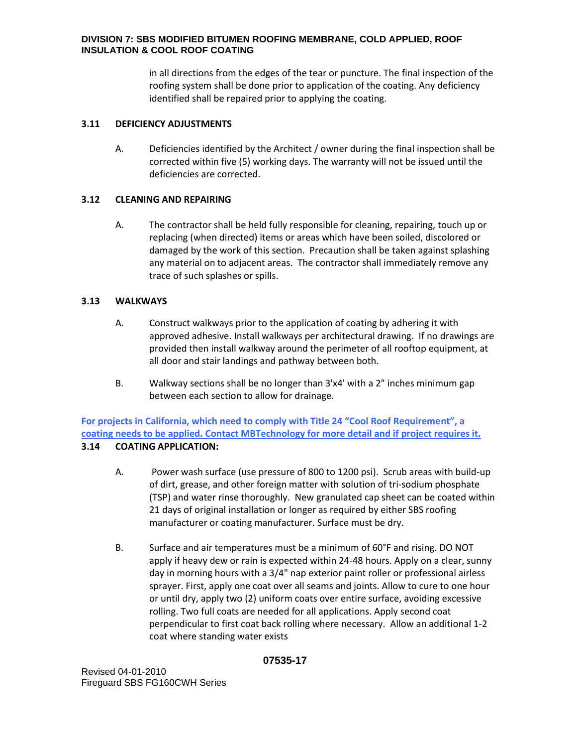in all directions from the edges of the tear or puncture. The final inspection of the roofing system shall be done prior to application of the coating. Any deficiency identified shall be repaired prior to applying the coating.

# **3.11 DEFICIENCY ADJUSTMENTS**

A. Deficiencies identified by the Architect / owner during the final inspection shall be corrected within five (5) working days. The warranty will not be issued until the deficiencies are corrected.

# **3.12 CLEANING AND REPAIRING**

A. The contractor shall be held fully responsible for cleaning, repairing, touch up or replacing (when directed) items or areas which have been soiled, discolored or damaged by the work of this section. Precaution shall be taken against splashing any material on to adjacent areas. The contractor shall immediately remove any trace of such splashes or spills.

# **3.13 WALKWAYS**

- A. Construct walkways prior to the application of coating by adhering it with approved adhesive. Install walkways per architectural drawing. If no drawings are provided then install walkway around the perimeter of all rooftop equipment, at all door and stair landings and pathway between both.
- B. Walkway sections shall be no longer than 3'x4' with a 2" inches minimum gap between each section to allow for drainage.

**For projects in California, which need to comply with Title 24 "Cool Roof Requirement", a coating needs to be applied. Contact MBTechnology for more detail and if project requires it.**

# **3.14 COATING APPLICATION:**

- A. Power wash surface (use pressure of 800 to 1200 psi). Scrub areas with build-up of dirt, grease, and other foreign matter with solution of tri-sodium phosphate (TSP) and water rinse thoroughly. New granulated cap sheet can be coated within 21 days of original installation or longer as required by either SBS roofing manufacturer or coating manufacturer. Surface must be dry.
- B. Surface and air temperatures must be a minimum of 60°F and rising. DO NOT apply if heavy dew or rain is expected within 24-48 hours. Apply on a clear, sunny day in morning hours with a 3/4" nap exterior paint roller or professional airless sprayer. First, apply one coat over all seams and joints. Allow to cure to one hour or until dry, apply two (2) uniform coats over entire surface, avoiding excessive rolling. Two full coats are needed for all applications. Apply second coat perpendicular to first coat back rolling where necessary. Allow an additional 1-2 coat where standing water exists